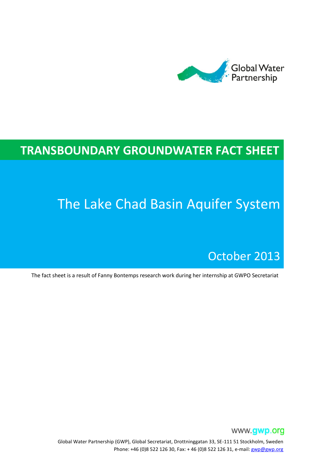

# **TRANSBOUNDARY GROUNDWATER FACT SHEET**

# The Lake Chad Basin Aquifer System

## October 2013

The fact sheet is a result of Fanny Bontemps research work during her internship at GWPO Secretariat



Global Water Partnership (GWP), Global Secretariat, Drottninggatan 33, SE-111 51 Stockholm, Sweden Phone: +46 (0)8 522 126 30, Fax: + 46 (0)8 522 126 31, e-mail[: gwp@gwp.org](mailto:gwp@gwp.org)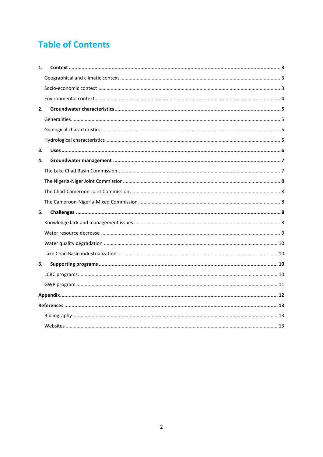### **Table of Contents**

| 1. |  |
|----|--|
|    |  |
|    |  |
|    |  |
| 2. |  |
|    |  |
|    |  |
|    |  |
| з. |  |
| 4. |  |
|    |  |
|    |  |
|    |  |
|    |  |
| 5. |  |
|    |  |
|    |  |
|    |  |
|    |  |
| 6. |  |
|    |  |
|    |  |
|    |  |
|    |  |
|    |  |
|    |  |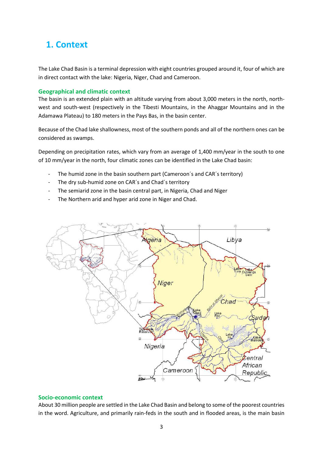### <span id="page-2-0"></span>**1. Context**

The Lake Chad Basin is a terminal depression with eight countries grouped around it, four of which are in direct contact with the lake: Nigeria, Niger, Chad and Cameroon.

#### <span id="page-2-1"></span>**Geographical and climatic context**

The basin is an extended plain with an altitude varying from about 3,000 meters in the north, northwest and south-west (respectively in the Tibesti Mountains, in the Ahaggar Mountains and in the Adamawa Plateau) to 180 meters in the Pays Bas, in the basin center.

Because of the Chad lake shallowness, most of the southern ponds and all of the northern ones can be considered as swamps.

Depending on precipitation rates, which vary from an average of 1,400 mm/year in the south to one of 10 mm/year in the north, four climatic zones can be identified in the Lake Chad basin:

- The humid zone in the basin southern part (Cameroon's and CAR's territory)
- The dry sub-humid zone on CAR's and Chad's territory
- The semiarid zone in the basin central part, in Nigeria, Chad and Niger
- The Northern arid and hyper arid zone in Niger and Chad.



#### <span id="page-2-2"></span>**Socio-economic context**

About 30 million people are settled in the Lake Chad Basin and belong to some of the poorest countries in the word. Agriculture, and primarily rain-feds in the south and in flooded areas, is the main basin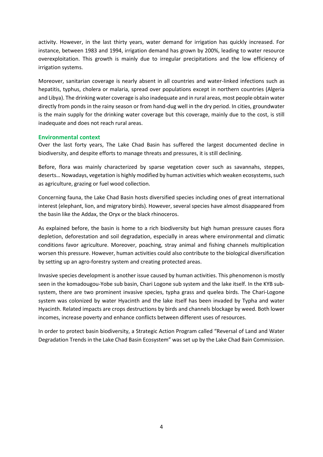activity. However, in the last thirty years, water demand for irrigation has quickly increased. For instance, between 1983 and 1994, irrigation demand has grown by 200%, leading to water resource overexploitation. This growth is mainly due to irregular precipitations and the low efficiency of irrigation systems.

Moreover, sanitarian coverage is nearly absent in all countries and water-linked infections such as hepatitis, typhus, cholera or malaria, spread over populations except in northern countries (Algeria and Libya). The drinking water coverage is also inadequate and in rural areas, most people obtain water directly from ponds in the rainy season or from hand-dug well in the dry period. In cities, groundwater is the main supply for the drinking water coverage but this coverage, mainly due to the cost, is still inadequate and does not reach rural areas.

#### <span id="page-3-0"></span>**Environmental context**

Over the last forty years, The Lake Chad Basin has suffered the largest documented decline in biodiversity, and despite efforts to manage threats and pressures, it is still declining.

Before, flora was mainly characterized by sparse vegetation cover such as savannahs, steppes, deserts… Nowadays, vegetation is highly modified by human activities which weaken ecosystems, such as agriculture, grazing or fuel wood collection.

Concerning fauna, the Lake Chad Basin hosts diversified species including ones of great international interest (elephant, lion, and migratory birds). However, several species have almost disappeared from the basin like the Addax, the Oryx or the black rhinoceros.

As explained before, the basin is home to a rich biodiversity but high human pressure causes flora depletion, deforestation and soil degradation, especially in areas where environmental and climatic conditions favor agriculture. Moreover, poaching, stray animal and fishing channels multiplication worsen this pressure. However, human activities could also contribute to the biological diversification by setting up an agro-forestry system and creating protected areas.

Invasive species development is another issue caused by human activities. This phenomenon is mostly seen in the komadougou-Yobe sub basin, Chari Logone sub system and the lake itself. In the KYB subsystem, there are two prominent invasive species, typha grass and quelea birds. The Chari-Logone system was colonized by water Hyacinth and the lake itself has been invaded by Typha and water Hyacinth. Related impacts are crops destructions by birds and channels blockage by weed. Both lower incomes, increase poverty and enhance conflicts between different uses of resources.

In order to protect basin biodiversity, a Strategic Action Program called "Reversal of Land and Water Degradation Trends in the Lake Chad Basin Ecosystem" was set up by the Lake Chad Bain Commission.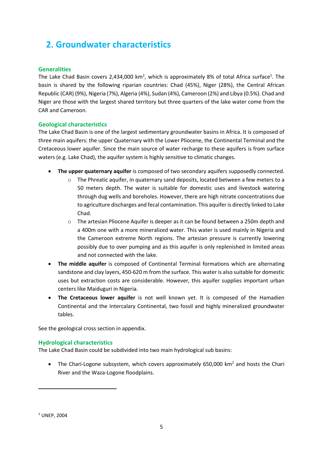### <span id="page-4-0"></span>**2. Groundwater characteristics**

### <span id="page-4-1"></span>**Generalities**

The Lake Chad Basin covers 2,434,000 km<sup>2</sup>, which is approximately 8% of total Africa surface<sup>1</sup>. The basin is shared by the following riparian countries: Chad (45%), Niger (28%), the Central African Republic (CAR) (9%), Nigeria (7%), Algeria (4%), Sudan (4%), Cameroon (2%) and Libya (0.5%). Chad and Niger are those with the largest shared territory but three quarters of the lake water come from the CAR and Cameroon.

### <span id="page-4-2"></span>**Geological characteristics**

The Lake Chad Basin is one of the largest sedimentary groundwater basins in Africa. It is composed of three main aquifers: the upper Quaternary with the Lower Pliocene, the Continental Terminal and the Cretaceous lower aquifer. Since the main source of water recharge to these aquifers is from surface waters (e.g. Lake Chad), the aquifer system is highly sensitive to climatic changes.

- **The upper quaternary aquifer** is composed of two secondary aquifers supposedly connected.
	- o The Phreatic aquifer, in quaternary sand deposits, located between a few meters to a 50 meters depth. The water is suitable for domestic uses and livestock watering through dug wells and boreholes. However, there are high nitrate concentrations due to agriculture discharges and fecal contamination. This aquifer is directly linked to Lake Chad.
	- o The artesian Pliocene Aquifer is deeper as it can be found between a 250m depth and a 400m one with a more mineralized water. This water is used mainly in Nigeria and the Cameroon extreme North regions. The artesian pressure is currently lowering possibly due to over pumping and as this aquifer is only replenished in limited areas and not connected with the lake.
- **The middle aquifer** is composed of Continental Terminal formations which are alternating sandstone and clay layers, 450-620 m from the surface. This water is also suitable for domestic uses but extraction costs are considerable. However, this aquifer supplies important urban centers like Maiduguri in Nigeria.
- **The Cretaceous lower aquifer** is not well known yet. It is composed of the Hamadien Continental and the Intercalary Continental, two fossil and highly mineralized groundwater tables.

See the geological cross section in appendix.

#### <span id="page-4-3"></span>**Hydrological characteristics**

The Lake Chad Basin could be subdivided into two main hydrological sub basins:

• The Chari-Logone subsystem, which covers approximately 650,000 km<sup>2</sup> and hosts the Chari River and the Waza-Logone floodplains.

 $\overline{\phantom{a}}$ 

<sup>1</sup> UNEP, 2004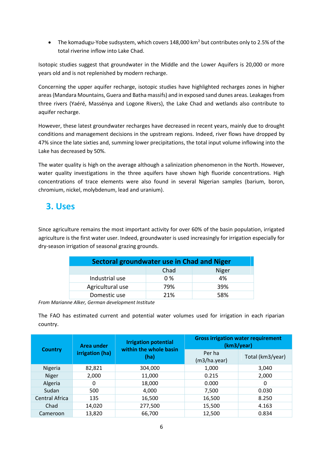• The komadugu-Yobe sudsystem, which covers 148,000 km<sup>2</sup> but contributes only to 2.5% of the total riverine inflow into Lake Chad.

Isotopic studies suggest that groundwater in the Middle and the Lower Aquifers is 20,000 or more years old and is not replenished by modern recharge.

Concerning the upper aquifer recharge, isotopic studies have highlighted recharges zones in higher areas (Mandara Mountains, Guera and Batha massifs) and in exposed sand dunes areas. Leakagesfrom three rivers (Yaéré, Massénya and Logone Rivers), the Lake Chad and wetlands also contribute to aquifer recharge.

However, these latest groundwater recharges have decreased in recent years, mainly due to drought conditions and management decisions in the upstream regions. Indeed, river flows have dropped by 47% since the late sixties and, summing lower precipitations, the total input volume inflowing into the Lake has decreased by 50%.

The water quality is high on the average although a salinization phenomenon in the North. However, water quality investigations in the three aquifers have shown high fluoride concentrations. High concentrations of trace elements were also found in several Nigerian samples (barium, boron, chromium, nickel, molybdenum, lead and uranium).

### <span id="page-5-0"></span>**3. Uses**

Since agriculture remains the most important activity for over 60% of the basin population, irrigated agriculture is the first water user. Indeed, groundwater is used increasingly for irrigation especially for dry-season irrigation of seasonal grazing grounds.

| Sectoral groundwater use in Chad and Niger |      |              |  |  |  |  |
|--------------------------------------------|------|--------------|--|--|--|--|
|                                            | Chad | <b>Niger</b> |  |  |  |  |
| Industrial use                             | 0%   | 4%           |  |  |  |  |
| Agricultural use                           | 79%  | 39%          |  |  |  |  |
| Domestic use                               | 21%  | 58%          |  |  |  |  |

*From Marianne Alker, German development Institute*

The FAO has estimated current and potential water volumes used for irrigation in each riparian country.

|                       | Area under<br>irrigation (ha) | <b>Irrigation potential</b><br>within the whole basin | <b>Gross irrigation water requirement</b><br>(km3/year) |                  |
|-----------------------|-------------------------------|-------------------------------------------------------|---------------------------------------------------------|------------------|
| <b>Country</b>        |                               | (ha)                                                  | Per ha<br>(m3/ha.year)                                  | Total (km3/year) |
| Nigeria               | 82,821                        | 304,000                                               | 1,000                                                   | 3,040            |
| <b>Niger</b>          | 2,000                         | 11,000                                                | 0.215                                                   | 2,000            |
| Algeria               | 0                             | 18,000                                                | 0.000                                                   | 0                |
| Sudan                 | 500                           | 4,000                                                 | 7,500                                                   | 0.030            |
| <b>Central Africa</b> | 135                           | 16,500                                                | 16,500                                                  | 8.250            |
| Chad                  | 14,020                        | 277,500                                               | 15,500                                                  | 4.163            |
| Cameroon              | 13,820                        | 66,700                                                | 12,500                                                  | 0.834            |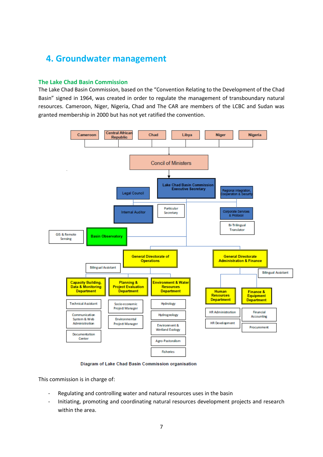### <span id="page-6-0"></span>**4. Groundwater management**

### <span id="page-6-1"></span>**The Lake Chad Basin Commission**

The Lake Chad Basin Commission, based on the "Convention Relating to the Development of the Chad Basin" signed in 1964, was created in order to regulate the management of transboundary natural resources. Cameroon, Niger, Nigeria, Chad and The CAR are members of the LCBC and Sudan was granted membership in 2000 but has not yet ratified the convention.



Diagram of Lake Chad Basin Commission organisation

This commission is in charge of:

- Regulating and controlling water and natural resources uses in the basin
- Initiating, promoting and coordinating natural resources development projects and research within the area.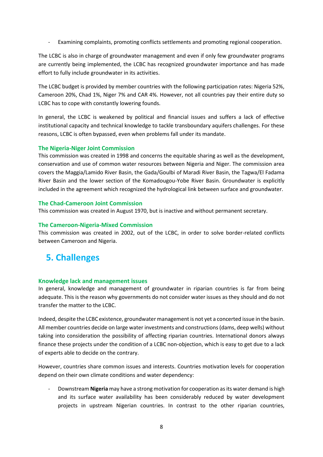Examining complaints, promoting conflicts settlements and promoting regional cooperation.

The LCBC is also in charge of groundwater management and even if only few groundwater programs are currently being implemented, the LCBC has recognized groundwater importance and has made effort to fully include groundwater in its activities.

The LCBC budget is provided by member countries with the following participation rates: Nigeria 52%, Cameroon 20%, Chad 1%, Niger 7% and CAR 4%. However, not all countries pay their entire duty so LCBC has to cope with constantly lowering founds.

In general, the LCBC is weakened by political and financial issues and suffers a lack of effective institutional capacity and technical knowledge to tackle transboundary aquifers challenges. For these reasons, LCBC is often bypassed, even when problems fall under its mandate.

### <span id="page-7-0"></span>**The Nigeria-Niger Joint Commission**

This commission was created in 1998 and concerns the equitable sharing as well as the development, conservation and use of common water resources between Nigeria and Niger. The commission area covers the Maggia/Lamido River Basin, the Gada/Goulbi of Maradi River Basin, the Tagwa/El Fadama River Basin and the lower section of the Komadougou-Yobe River Basin. Groundwater is explicitly included in the agreement which recognized the hydrological link between surface and groundwater.

#### <span id="page-7-1"></span>**The Chad-Cameroon Joint Commission**

This commission was created in August 1970, but is inactive and without permanent secretary.

#### <span id="page-7-2"></span>**The Cameroon-Nigeria-Mixed Commission**

This commission was created in 2002, out of the LCBC, in order to solve border-related conflicts between Cameroon and Nigeria.

### <span id="page-7-3"></span>**5. Challenges**

#### <span id="page-7-4"></span>**Knowledge lack and management issues**

In general, knowledge and management of groundwater in riparian countries is far from being adequate. This is the reason why governments do not consider water issues as they should and do not transfer the matter to the LCBC.

Indeed, despite the LCBC existence, groundwater management is not yet a concerted issue in the basin. All member countries decide on large water investments and constructions (dams, deep wells) without taking into consideration the possibility of affecting riparian countries. International donors always finance these projects under the condition of a LCBC non-objection, which is easy to get due to a lack of experts able to decide on the contrary.

However, countries share common issues and interests. Countries motivation levels for cooperation depend on their own climate conditions and water dependency:

- Downstream **Nigeria** may have a strong motivation for cooperation as its water demand is high and its surface water availability has been considerably reduced by water development projects in upstream Nigerian countries. In contrast to the other riparian countries,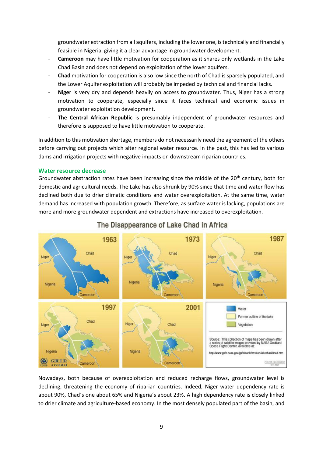groundwater extraction from all aquifers, including the lower one, is technically and financially feasible in Nigeria, giving it a clear advantage in groundwater development.

- **Cameroon** may have little motivation for cooperation as it shares only wetlands in the Lake Chad Basin and does not depend on exploitation of the lower aquifers.
- **Chad** motivation for cooperation is also low since the north of Chad is sparsely populated, and the Lower Aquifer exploitation will probably be impeded by technical and financial lacks.
- **Niger** is very dry and depends heavily on access to groundwater. Thus, Niger has a strong motivation to cooperate, especially since it faces technical and economic issues in groundwater exploitation development.
- The Central African Republic is presumably independent of groundwater resources and therefore is supposed to have little motivation to cooperate.

In addition to this motivation shortage, members do not necessarily need the agreement of the others before carrying out projects which alter regional water resource. In the past, this has led to various dams and irrigation projects with negative impacts on downstream riparian countries.

#### <span id="page-8-0"></span>**Water resource decrease**

Groundwater abstraction rates have been increasing since the middle of the  $20<sup>th</sup>$  century, both for domestic and agricultural needs. The Lake has also shrunk by 90% since that time and water flow has declined both due to drier climatic conditions and water overexploitation. At the same time, water demand has increased with population growth. Therefore, as surface water is lacking, populations are more and more groundwater dependent and extractions have increased to overexploitation.



### The Disappearance of Lake Chad in Africa

Nowadays, both because of overexploitation and reduced recharge flows, groundwater level is declining, threatening the economy of riparian countries. Indeed, Niger water dependency rate is about 90%, Chad´s one about 65% and Nigeria´s about 23%. A high dependency rate is closely linked to drier climate and agriculture-based economy. In the most densely populated part of the basin, and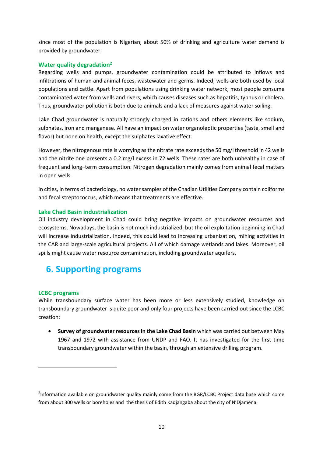since most of the population is Nigerian, about 50% of drinking and agriculture water demand is provided by groundwater.

### <span id="page-9-0"></span>**Water quality degradation<sup>2</sup>**

Regarding wells and pumps, groundwater contamination could be attributed to inflows and infiltrations of human and animal feces, wastewater and germs. Indeed, wells are both used by local populations and cattle. Apart from populations using drinking water network, most people consume contaminated water from wells and rivers, which causes diseases such as hepatitis, typhus or cholera. Thus, groundwater pollution is both due to animals and a lack of measures against water soiling.

Lake Chad groundwater is naturally strongly charged in cations and others elements like sodium, sulphates, iron and manganese. All have an impact on water organoleptic properties (taste, smell and flavor) but none on health, except the sulphates laxative effect.

However, the nitrogenous rate is worrying as the nitrate rate exceeds the 50 mg/l threshold in 42 wells and the nitrite one presents a 0.2 mg/l excess in 72 wells. These rates are both unhealthy in case of frequent and long–term consumption. Nitrogen degradation mainly comes from animal fecal matters in open wells.

In cities, in terms of bacteriology, no water samples of the Chadian Utilities Company contain coliforms and fecal streptococcus, which means that treatments are effective.

### <span id="page-9-1"></span>**Lake Chad Basin industrialization**

Oil industry development in Chad could bring negative impacts on groundwater resources and ecosystems. Nowadays, the basin is not much industrialized, but the oil exploitation beginning in Chad will increase industrialization. Indeed, this could lead to increasing urbanization, mining activities in the CAR and large-scale agricultural projects. All of which damage wetlands and lakes. Moreover, oil spills might cause water resource contamination, including groundwater aquifers.

### <span id="page-9-2"></span>**6. Supporting programs**

### <span id="page-9-3"></span>**LCBC programs**

**.** 

While transboundary surface water has been more or less extensively studied, knowledge on transboundary groundwater is quite poor and only four projects have been carried out since the LCBC creation:

 **Survey of groundwater resources in the Lake Chad Basin** which was carried out between May 1967 and 1972 with assistance from UNDP and FAO. It has investigated for the first time transboundary groundwater within the basin, through an extensive drilling program.

<sup>&</sup>lt;sup>2</sup>Information available on groundwater quality mainly come from the BGR/LCBC Project data base which come from about 300 wells or boreholes and the thesis of Edith Kadjangaba about the city of N'Djamena.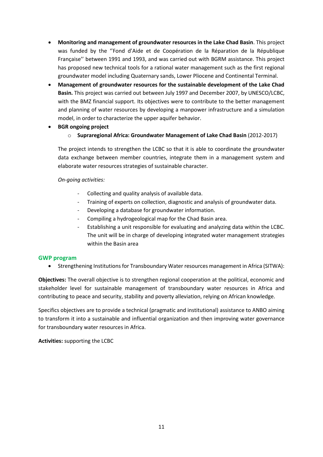- **Monitoring and management of groundwater resources in the Lake Chad Basin**. This project was funded by the ''Fond d'Aide et de Coopération de la Réparation de la République Française'' between 1991 and 1993, and was carried out with BGRM assistance. This project has proposed new technical tools for a rational water management such as the first regional groundwater model including Quaternary sands, Lower Pliocene and Continental Terminal.
- **Management of groundwater resources for the sustainable development of the Lake Chad Basin.** This project was carried out between July 1997 and December 2007, by UNESCO/LCBC, with the BMZ financial support. Its objectives were to contribute to the better management and planning of water resources by developing a manpower infrastructure and a simulation model, in order to characterize the upper aquifer behavior.
- **BGR ongoing project**
	- o **Supraregional Africa: Groundwater Management of Lake Chad Basin** (2012-2017)

The project intends to strengthen the LCBC so that it is able to coordinate the groundwater data exchange between member countries, integrate them in a management system and elaborate water resources strategies of sustainable character.

### *On-going activities:*

- Collecting and quality analysis of available data.
- Training of experts on collection, diagnostic and analysis of groundwater data.
- Developing a database for groundwater information.
- Compiling a hydrogeological map for the Chad Basin area.
- Establishing a unit responsible for evaluating and analyzing data within the LCBC. The unit will be in charge of developing integrated water management strategies within the Basin area

### <span id="page-10-0"></span>**GWP program**

Strengthening Institutions for Transboundary Water resources management in Africa (SITWA):

**Objectives:** The overall objective is to strengthen regional cooperation at the political, economic and stakeholder level for sustainable management of transboundary water resources in Africa and contributing to peace and security, stability and poverty alleviation, relying on African knowledge.

Specifics objectives are to provide a technical (pragmatic and institutional) assistance to ANBO aiming to transform it into a sustainable and influential organization and then improving water governance for transboundary water resources in Africa.

**Activities:** supporting the LCBC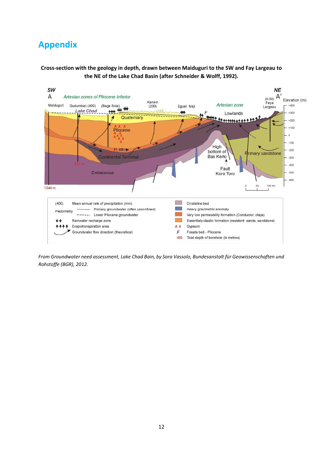### <span id="page-11-0"></span>**Appendix**

**Cross-section with the geology in depth, drawn between Maiduguri to the SW and Fay Largeau to the NE of the Lake Chad Basin (after Schneider & Wolff, 1992).**



*From Groundwater need assessment, Lake Chad Bain, by Sara Vassolo, Bundesanstalt für Geowissenschaften und Rohstoffe (BGR), 2012.*